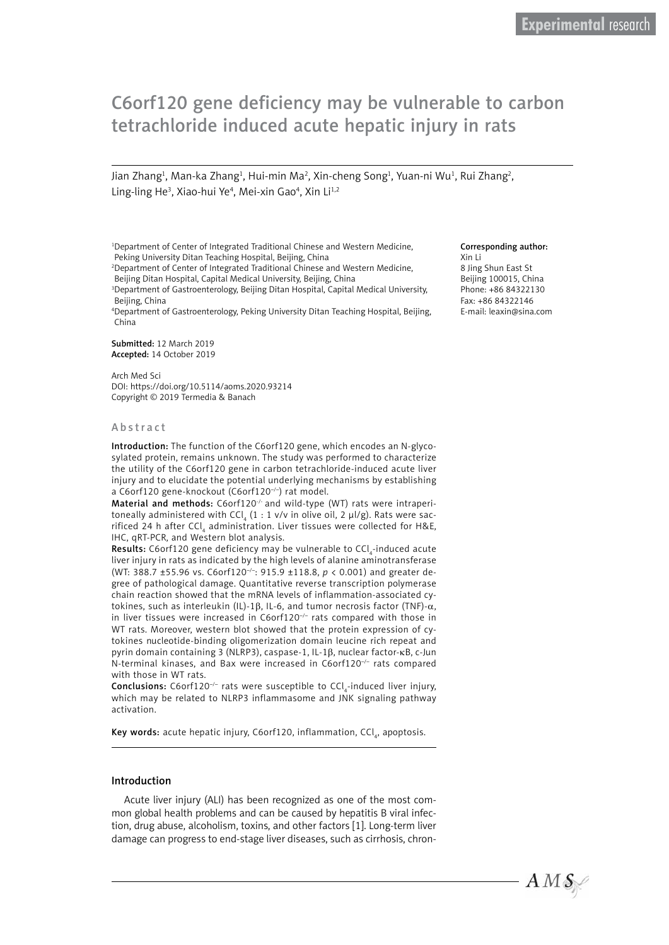# C6orf120 gene deficiency may be vulnerable to carbon tetrachloride induced acute hepatic injury in rats

Jian Zhang<sup>1</sup>, Man-ka Zhang<sup>1</sup>, Hui-min Ma<sup>2</sup>, Xin-cheng Song<sup>1</sup>, Yuan-ni Wu<sup>1</sup>, Rui Zhang<sup>2</sup>, Ling-ling He<sup>3</sup>, Xiao-hui Ye<sup>4</sup>, Mei-xin Gao<sup>4</sup>, Xin Li<sup>1,2</sup>

<sup>1</sup>Department of Center of Integrated Traditional Chinese and Western Medicine, Peking University Ditan Teaching Hospital, Beijing, China

2 Department of Center of Integrated Traditional Chinese and Western Medicine, Beijing Ditan Hospital, Capital Medical University, Beijing, China

3 Department of Gastroenterology, Beijing Ditan Hospital, Capital Medical University, Beijing, China

4 Department of Gastroenterology, Peking University Ditan Teaching Hospital, Beijing, China

Submitted: 12 March 2019 Accepted: 14 October 2019

Arch Med Sci DOI: https://doi.org/10.5114/aoms.2020.93214 Copyright © 2019 Termedia & Banach

#### Abstract

Introduction: The function of the C6orf120 gene, which encodes an N-glycosylated protein, remains unknown. The study was performed to characterize the utility of the C6orf120 gene in carbon tetrachloride-induced acute liver injury and to elucidate the potential underlying mechanisms by establishing a C6orf120 gene-knockout (C6orf120–/–) rat model.

Material and methods: C6orf120<sup>-/-</sup> and wild-type (WT) rats were intraperitoneally administered with CCl $_{_4}$  (1 : 1 v/v in olive oil, 2  $\mu$ l/g). Rats were sacrificed 24 h after CCl<sub>4</sub> administration. Liver tissues were collected for H&E, IHC, qRT-PCR, and Western blot analysis.

**Results:** C6orf120 gene deficiency may be vulnerable to CCl<sub>4</sub>-induced acute liver injury in rats as indicated by the high levels of alanine aminotransferase (WT: 388.7 ±55.96 vs. C6orf120–/–: 915.9 ±118.8, *p* < 0.001) and greater degree of pathological damage. Quantitative reverse transcription polymerase chain reaction showed that the mRNA levels of inflammation-associated cytokines, such as interleukin (IL)-1β, IL-6, and tumor necrosis factor (TNF)- $\alpha$ , in liver tissues were increased in C6orf120<sup>-/-</sup> rats compared with those in WT rats. Moreover, western blot showed that the protein expression of cytokines nucleotide-binding oligomerization domain leucine rich repeat and pyrin domain containing 3 (NLRP3), caspase-1, IL-1β, nuclear factor-kB, c-Jun N-terminal kinases, and Bax were increased in C6orf120<sup>-/-</sup> rats compared with those in WT rats.

**Conclusions:** C6orf120<sup>-/-</sup> rats were susceptible to CCl<sub>4</sub>-induced liver injury, which may be related to NLRP3 inflammasome and JNK signaling pathway activation.

 ${\sf Key\ words:}$  acute hepatic injury, <code>C6orf120</code>, inflammation, <code>CCl</code>  $_{\!a\!},$  apoptosis.

#### Introduction

Acute liver injury (ALI) has been recognized as one of the most common global health problems and can be caused by hepatitis B viral infection, drug abuse, alcoholism, toxins, and other factors [1]. Long-term liver damage can progress to end-stage liver diseases, such as cirrhosis, chron-

#### Corresponding author:

Xin Li 8 Jing Shun East St Beijing 100015, China Phone: +86 84322130 Fax: +86 84322146 E-mail: leaxin@sina.com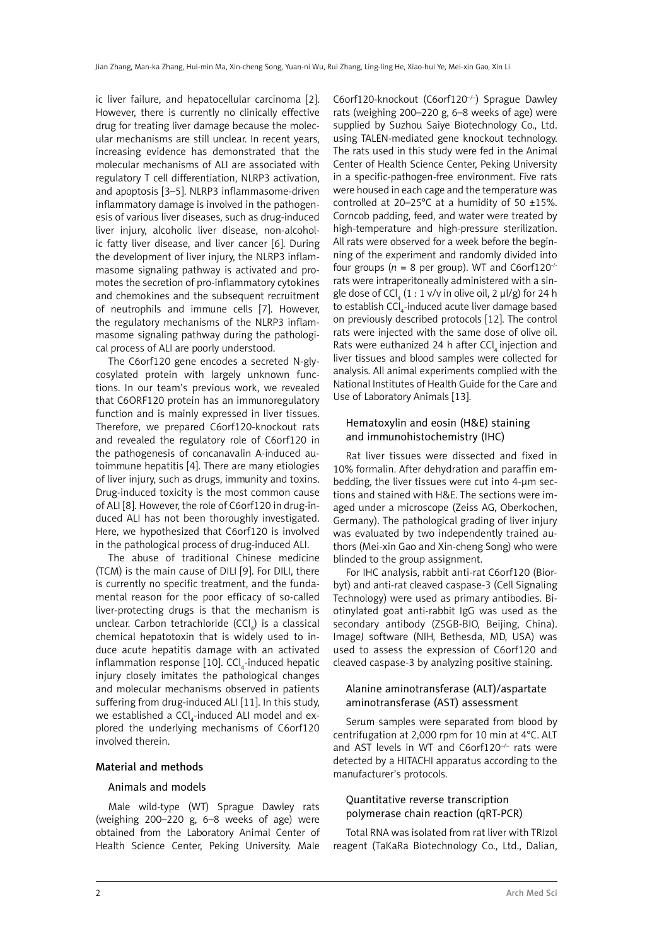ic liver failure, and hepatocellular carcinoma [2]. However, there is currently no clinically effective drug for treating liver damage because the molecular mechanisms are still unclear. In recent years, increasing evidence has demonstrated that the molecular mechanisms of ALI are associated with regulatory T cell differentiation, NLRP3 activation, and apoptosis [3–5]. NLRP3 inflammasome-driven inflammatory damage is involved in the pathogenesis of various liver diseases, such as drug-induced liver injury, alcoholic liver disease, non-alcoholic fatty liver disease, and liver cancer [6]. During the development of liver injury, the NLRP3 inflammasome signaling pathway is activated and promotes the secretion of pro-inflammatory cytokines and chemokines and the subsequent recruitment of neutrophils and immune cells [7]. However, the regulatory mechanisms of the NLRP3 inflammasome signaling pathway during the pathological process of ALI are poorly understood.

The C6orf120 gene encodes a secreted N-glycosylated protein with largely unknown functions. In our team's previous work, we revealed that C6ORF120 protein has an immunoregulatory function and is mainly expressed in liver tissues. Therefore, we prepared C6orf120-knockout rats and revealed the regulatory role of C6orf120 in the pathogenesis of concanavalin A-induced autoimmune hepatitis [4]. There are many etiologies of liver injury, such as drugs, immunity and toxins. Drug-induced toxicity is the most common cause of ALI [8]. However, the role of C6orf120 in drug-induced ALI has not been thoroughly investigated. Here, we hypothesized that C6orf120 is involved in the pathological process of drug-induced ALI.

The abuse of traditional Chinese medicine (TCM) is the main cause of DILI [9]. For DILI, there is currently no specific treatment, and the fundamental reason for the poor efficacy of so-called liver-protecting drugs is that the mechanism is unclear. Carbon tetrachloride (CCl $_{4}$ ) is a classical chemical hepatotoxin that is widely used to induce acute hepatitis damage with an activated inflammation response [10]. CCl $_{\textrm{\tiny{4}}}$ -induced hepatic injury closely imitates the pathological changes and molecular mechanisms observed in patients suffering from drug-induced ALI [11]. In this study, we established a CCl $_4$ -induced ALI model and explored the underlying mechanisms of C6orf120 involved therein.

# Material and methods

#### Animals and models

Male wild-type (WT) Sprague Dawley rats (weighing 200–220 g, 6–8 weeks of age) were obtained from the Laboratory Animal Center of Health Science Center, Peking University. Male

C6orf120-knockout (C6orf120<sup>-/-</sup>) Sprague Dawley rats (weighing 200–220 g, 6–8 weeks of age) were supplied by Suzhou Saiye Biotechnology Co., Ltd. using TALEN-mediated gene knockout technology. The rats used in this study were fed in the Animal Center of Health Science Center, Peking University in a specific-pathogen-free environment. Five rats were housed in each cage and the temperature was controlled at 20–25°C at a humidity of 50  $\pm$ 15%. Corncob padding, feed, and water were treated by high-temperature and high-pressure sterilization. All rats were observed for a week before the beginning of the experiment and randomly divided into four groups  $(n = 8$  per group). WT and C6orf120<sup>-/-</sup> rats were intraperitoneally administered with a single dose of CCl<sub>4</sub> (1 : 1 v/v in olive oil, 2  $\mu$ l/g) for 24 h to establish CCl<sub>4</sub>-induced acute liver damage based on previously described protocols [12]. The control rats were injected with the same dose of olive oil. Rats were euthanized 24 h after CCl, injection and liver tissues and blood samples were collected for analysis. All animal experiments complied with the National Institutes of Health Guide for the Care and Use of Laboratory Animals [13].

# Hematoxylin and eosin (H&E) staining and immunohistochemistry (IHC)

Rat liver tissues were dissected and fixed in 10% formalin. After dehydration and paraffin embedding, the liver tissues were cut into 4-µm sections and stained with H&E. The sections were imaged under a microscope (Zeiss AG, Oberkochen, Germany). The pathological grading of liver injury was evaluated by two independently trained authors (Mei-xin Gao and Xin-cheng Song) who were blinded to the group assignment.

For IHC analysis, rabbit anti-rat C6orf120 (Biorbyt) and anti-rat cleaved caspase-3 (Cell Signaling Technology) were used as primary antibodies. Biotinylated goat anti-rabbit IgG was used as the secondary antibody (ZSGB-BIO, Beijing, China). ImageJ software (NIH, Bethesda, MD, USA) was used to assess the expression of C6orf120 and cleaved caspase-3 by analyzing positive staining.

# Alanine aminotransferase (ALT)/aspartate aminotransferase (AST) assessment

Serum samples were separated from blood by centrifugation at 2,000 rpm for 10 min at 4°C. ALT and AST levels in WT and C6orf120–/– rats were detected by a HITACHI apparatus according to the manufacturer's protocols.

# Quantitative reverse transcription polymerase chain reaction (qRT-PCR)

Total RNA was isolated from rat liver with TRIzol reagent (TaKaRa Biotechnology Co., Ltd., Dalian,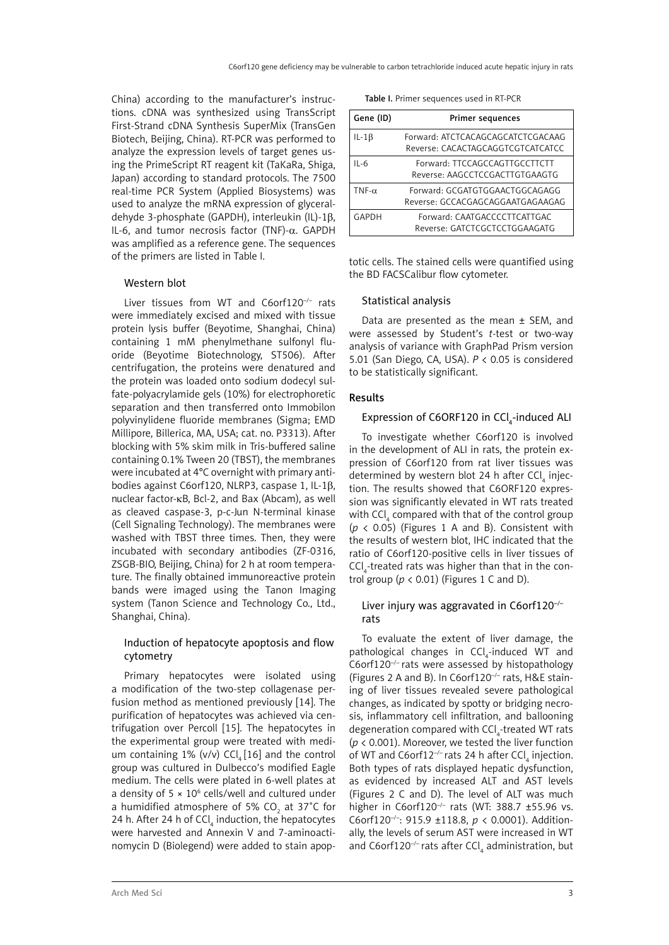China) according to the manufacturer's instructions. cDNA was synthesized using TransScript First-Strand cDNA Synthesis SuperMix (TransGen Biotech, Beijing, China). RT-PCR was performed to analyze the expression levels of target genes using the PrimeScript RT reagent kit (TaKaRa, Shiga, Japan) according to standard protocols. The 7500 real-time PCR System (Applied Biosystems) was used to analyze the mRNA expression of glyceraldehyde 3-phosphate (GAPDH), interleukin (IL)-1β, IL-6, and tumor necrosis factor (TNF)- $\alpha$ , GAPDH was amplified as a reference gene. The sequences of the primers are listed in Table I.

# Western blot

Liver tissues from WT and C6orf120<sup>-/-</sup> rats were immediately excised and mixed with tissue protein lysis buffer (Beyotime, Shanghai, China) containing 1 mM phenylmethane sulfonyl fluoride (Beyotime Biotechnology, ST506). After centrifugation, the proteins were denatured and the protein was loaded onto sodium dodecyl sulfate-polyacrylamide gels (10%) for electrophoretic separation and then transferred onto Immobilon polyvinylidene fluoride membranes (Sigma; EMD Millipore, Billerica, MA, USA; cat. no. P3313). After blocking with 5% skim milk in Tris-buffered saline containing 0.1% Tween 20 (TBST), the membranes were incubated at 4°C overnight with primary antibodies against C6orf120, NLRP3, caspase 1, IL-1β, nuclear factor-kB, Bcl-2, and Bax (Abcam), as well as cleaved caspase-3, p-c-Jun N-terminal kinase (Cell Signaling Technology). The membranes were washed with TBST three times. Then, they were incubated with secondary antibodies (ZF-0316, ZSGB-BIO, Beijing, China) for 2 h at room temperature. The finally obtained immunoreactive protein bands were imaged using the Tanon Imaging system (Tanon Science and Technology Co., Ltd., Shanghai, China).

# Induction of hepatocyte apoptosis and flow cytometry

Primary hepatocytes were isolated using a modification of the two-step collagenase perfusion method as mentioned previously [14]. The purification of hepatocytes was achieved via centrifugation over Percoll [15]. The hepatocytes in the experimental group were treated with medium containing 1% (v/v) CCl<sub>4</sub> [16] and the control group was cultured in Dulbecco's modified Eagle medium. The cells were plated in 6-well plates at a density of  $5 \times 10^6$  cells/well and cultured under a humidified atmosphere of 5% CO $_{\textrm{\tiny{2}}}$  at 37°C for 24 h. After 24 h of  $\mathsf{CCl}_4$  induction, the hepatocytes were harvested and Annexin V and 7-aminoactinomycin D (Biolegend) were added to stain apop-

| Table I. Primer sequences used in RT-PCR |
|------------------------------------------|
|------------------------------------------|

| Gene (ID)     | Primer sequences                                                       |
|---------------|------------------------------------------------------------------------|
| $IL-1\beta$   | Forward: ATCTCACAGCAGCATCTCGACAAG<br>Reverse: CACACTAGCAGGTCGTCATCATCC |
| $II - 6$      | Forward: TTCCAGCCAGTTGCCTTCTT<br>Reverse: AAGCCTCCGACTTGTGAAGTG        |
| TNF- $\alpha$ | Forward: GCGATGTGGAACTGGCAGAGG<br>Reverse: GCCACGAGCAGGAATGAGAAGAG     |
| GAPDH         | Forward: CAATGACCCCTTCATTGAC<br>Reverse: GATCTCGCTCCTGGAAGATG          |

totic cells. The stained cells were quantified using the BD FACSCalibur flow cytometer.

#### Statistical analysis

Data are presented as the mean ± SEM, and were assessed by Student's *t*-test or two-way analysis of variance with GraphPad Prism version 5.01 (San Diego, CA, USA). *P* < 0.05 is considered to be statistically significant.

#### Results

# Expression of C6ORF120 in  $\textsf{CCI}_4\textsf{-induced}$  ALI

To investigate whether C6orf120 is involved in the development of ALI in rats, the protein expression of C6orf120 from rat liver tissues was determined by western blot 24 h after CCl<sub>4</sub> injection. The results showed that C6ORF120 expression was significantly elevated in WT rats treated with CCl<sub>4</sub> compared with that of the control group (*p* < 0.05) (Figures 1 A and B). Consistent with the results of western blot, IHC indicated that the ratio of C6orf120-positive cells in liver tissues of  $\text{CCI}_4$ -treated rats was higher than that in the control group  $(p < 0.01)$  (Figures 1 C and D).

# Liver injury was aggravated in C6orf120<sup>-/-</sup> rats

To evaluate the extent of liver damage, the pathological changes in  $CCl_4$ -induced WT and C6orf120 $^{-/-}$  rats were assessed by histopathology (Figures 2 A and B). In C6orf120–/– rats, H&E staining of liver tissues revealed severe pathological changes, as indicated by spotty or bridging necrosis, inflammatory cell infiltration, and ballooning degeneration compared with  $\textsf{CCI}_4$ -treated WT rats (*p* < 0.001). Moreover, we tested the liver function of WT and C6orf12<sup>-/-</sup> rats 24 h after CCl<sub>4</sub> injection. Both types of rats displayed hepatic dysfunction, as evidenced by increased ALT and AST levels (Figures 2 C and D). The level of ALT was much higher in C6orf120<sup>-/-</sup> rats (WT: 388.7  $\pm$ 55.96 vs. C6orf120–/–: 915.9 ±118.8, *p* < 0.0001). Additionally, the levels of serum AST were increased in WT and C6orf120<sup>-/-</sup> rats after CCl<sub>4</sub> administration, but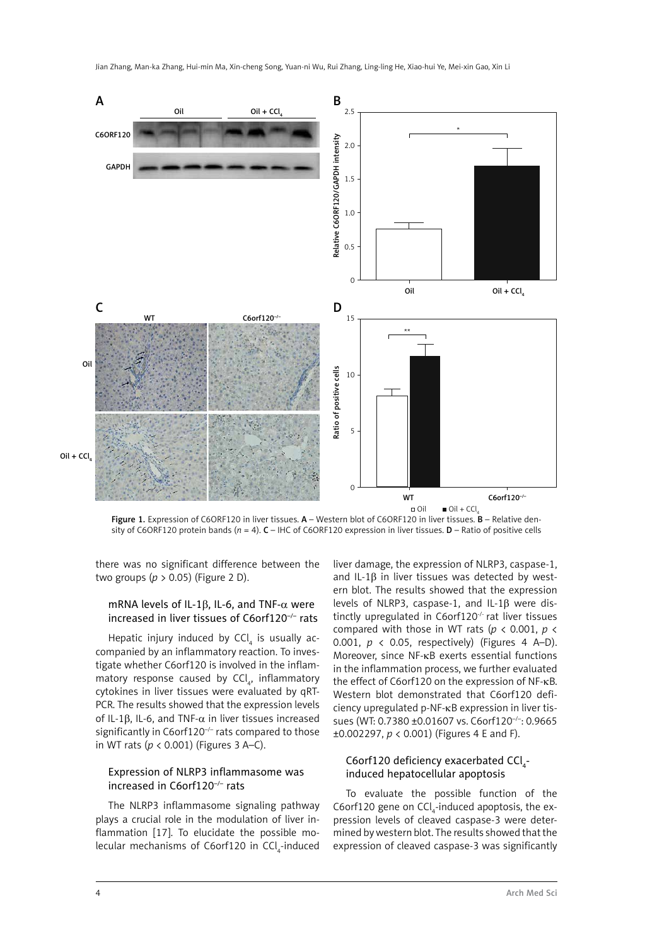

Figure 1. Expression of C6ORF120 in liver tissues. A - Western blot of C6ORF120 in liver tissues. B - Relative density of C6ORF120 protein bands (*n* = 4). C – IHC of C6ORF120 expression in liver tissues. D – Ratio of positive cells

there was no significant difference between the two groups (*p* > 0.05) (Figure 2 D).

# mRNA levels of IL-1 $\beta$ , IL-6, and TNF- $\alpha$  were increased in liver tissues of C6orf120–/– rats

Hepatic injury induced by  $\textsf{CCl}_4$  is usually accompanied by an inflammatory reaction. To investigate whether C6orf120 is involved in the inflammatory response caused by  $\text{CCl}_4$ , inflammatory cytokines in liver tissues were evaluated by qRT-PCR. The results showed that the expression levels of IL-1β, IL-6, and TNF- $\alpha$  in liver tissues increased significantly in C6orf120<sup>-/-</sup> rats compared to those in WT rats (*p* < 0.001) (Figures 3 A–C).

# Expression of NLRP3 inflammasome was increased in C6orf120–/– rats

The NLRP3 inflammasome signaling pathway plays a crucial role in the modulation of liver inflammation [17]. To elucidate the possible molecular mechanisms of C6orf120 in CCl<sub>4</sub>-induced liver damage, the expression of NLRP3, caspase-1, and IL-1β in liver tissues was detected by western blot. The results showed that the expression levels of NLRP3, caspase-1, and IL-1β were distinctly upregulated in C6orf120-/- rat liver tissues compared with those in WT rats (*p* < 0.001, *p* < 0.001, *p* < 0.05, respectively) (Figures 4 A–D). Moreover, since NF-κB exerts essential functions in the inflammation process, we further evaluated the effect of C6orf120 on the expression of NF-κB. Western blot demonstrated that C6orf120 deficiency upregulated p-NF-κB expression in liver tissues (WT: 0.7380 ±0.01607 vs. C6orf120–/–: 0.9665 ±0.002297, *p* < 0.001) (Figures 4 E and F).

# C6orf120 deficiency exacerbated  $\text{Cl}_4$ induced hepatocellular apoptosis

To evaluate the possible function of the C6orf120 gene on  $\text{CCI}_4$ -induced apoptosis, the expression levels of cleaved caspase-3 were determined by western blot. The results showed that the expression of cleaved caspase-3 was significantly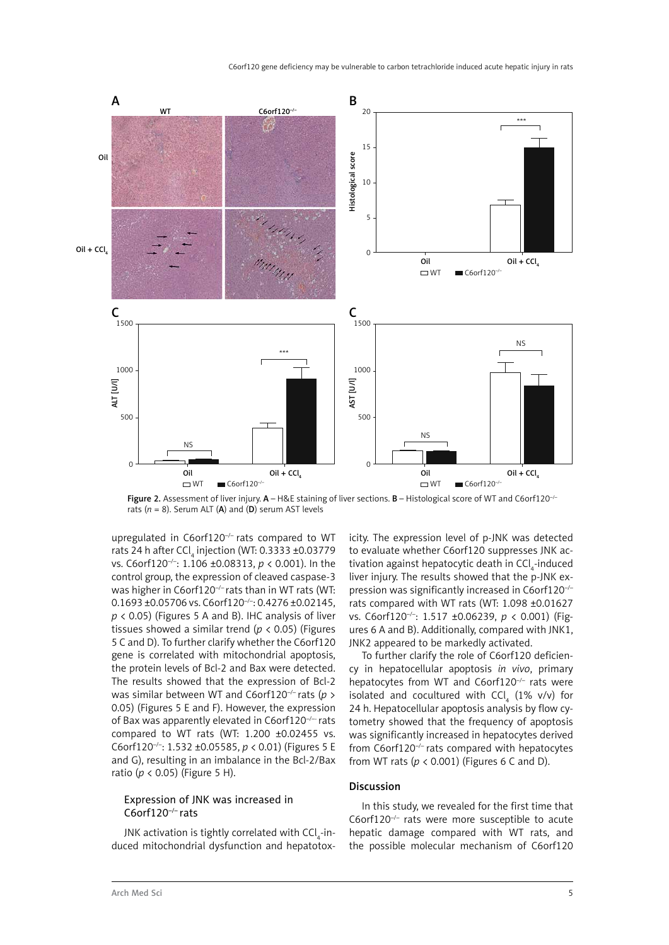

Figure 2. Assessment of liver injury.  $A - H$ &E staining of liver sections. B - Histological score of WT and C6orf120<sup>-/-</sup> rats  $(n = 8)$ . Serum ALT  $(A)$  and  $(D)$  serum AST levels

upregulated in C6orf120<sup>-/-</sup> rats compared to WT rats 24 h after CCl<sub>4</sub> injection (WT: 0.3333 ±0.03779 vs. C6orf120–/–: 1.106 ±0.08313, *p* < 0.001). In the control group, the expression of cleaved caspase-3 was higher in C6orf120<sup>-/-</sup> rats than in WT rats (WT: 0.1693 ±0.05706 vs. C6orf120<sup>-/-</sup>: 0.4276 ±0.02145, *p* < 0.05) (Figures 5 A and B). IHC analysis of liver tissues showed a similar trend (*p* < 0.05) (Figures 5 C and D). To further clarify whether the C6orf120 gene is correlated with mitochondrial apoptosis, the protein levels of Bcl-2 and Bax were detected. The results showed that the expression of Bcl-2 was similar between WT and C6orf120–/– rats (*p* > 0.05) (Figures 5 E and F). However, the expression of Bax was apparently elevated in  $C6$ orf120<sup>-/--</sup> rats compared to WT rats (WT: 1.200 ±0.02455 vs. C6orf120–/–: 1.532 ±0.05585, *p* < 0.01) (Figures 5 E and G), resulting in an imbalance in the Bcl-2/Bax ratio (*p* < 0.05) (Figure 5 H).

# Expression of JNK was increased in C6orf120–/– rats

JNK activation is tightly correlated with CCl $_4$ -induced mitochondrial dysfunction and hepatotoxicity. The expression level of p-JNK was detected to evaluate whether C6orf120 suppresses JNK activation against hepatocytic death in CCl<sub>4</sub>-induced liver injury. The results showed that the p-JNK expression was significantly increased in C6orf120–/– rats compared with WT rats (WT: 1.098 ±0.01627 vs. C6orf120–/–: 1.517 ±0.06239, *p* < 0.001) (Figures 6 A and B). Additionally, compared with JNK1, JNK2 appeared to be markedly activated.

To further clarify the role of C6orf120 deficiency in hepatocellular apoptosis *in vivo*, primary hepatocytes from WT and C6orf120<sup>-/-</sup> rats were isolated and cocultured with  $\text{CCI}_4$  (1% v/v) for 24 h. Hepatocellular apoptosis analysis by flow cytometry showed that the frequency of apoptosis was significantly increased in hepatocytes derived from  $C6$ orf120<sup>-/-</sup> rats compared with hepatocytes from WT rats (*p* < 0.001) (Figures 6 C and D).

### Discussion

In this study, we revealed for the first time that C6orf120 $^{-/-}$  rats were more susceptible to acute hepatic damage compared with WT rats, and the possible molecular mechanism of C6orf120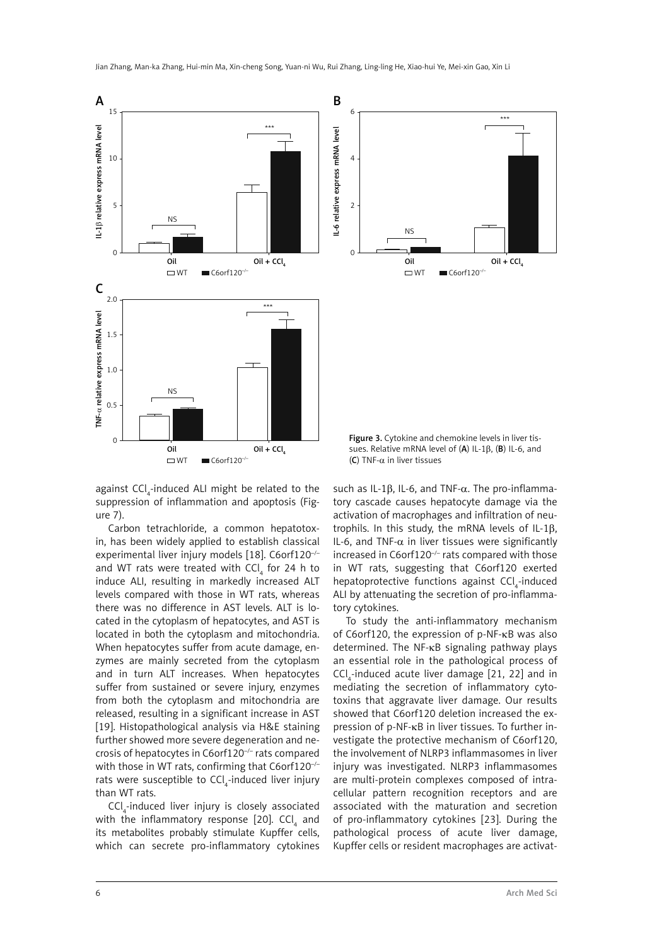

against  $\textsf{CCI}_4\textsf{-induced}$  ALI might be related to the suppression of inflammation and apoptosis (Figure 7).

Carbon tetrachloride, a common hepatotoxin, has been widely applied to establish classical experimental liver injury models [18]. C6orf120–/– and WT rats were treated with  $\textsf{CCl}_4^{}$  for 24 h to induce ALI, resulting in markedly increased ALT levels compared with those in WT rats, whereas there was no difference in AST levels. ALT is located in the cytoplasm of hepatocytes, and AST is located in both the cytoplasm and mitochondria. When hepatocytes suffer from acute damage, enzymes are mainly secreted from the cytoplasm and in turn ALT increases. When hepatocytes suffer from sustained or severe injury, enzymes from both the cytoplasm and mitochondria are released, resulting in a significant increase in AST [19]. Histopathological analysis via H&E staining further showed more severe degeneration and necrosis of hepatocytes in C6orf120<sup>-/-</sup> rats compared with those in WT rats, confirming that C6orf120<sup>-/-</sup> rats were susceptible to CCl<sub>4</sub>-induced liver injury than WT rats.

 $\textsf{CCI}_4$ -induced liver injury is closely associated with the inflammatory response [20]. CCl $_{\textrm{\tiny{4}}}$  and its metabolites probably stimulate Kupffer cells, which can secrete pro-inflammatory cytokines

such as IL-1 $\beta$ , IL-6, and TNF- $\alpha$ . The pro-inflammatory cascade causes hepatocyte damage via the activation of macrophages and infiltration of neutrophils. In this study, the mRNA levels of IL-1β, IL-6, and TNF- $\alpha$  in liver tissues were significantly increased in  $C6$ orf120<sup>-/-</sup> rats compared with those in WT rats, suggesting that C6orf120 exerted hepatoprotective functions against CCl<sub>4</sub>-induced ALI by attenuating the secretion of pro-inflammatory cytokines.

To study the anti-inflammatory mechanism of C6orf120, the expression of p-NF-κB was also determined. The NF-κB signaling pathway plays an essential role in the pathological process of  $\text{CCI}_{4}$ -induced acute liver damage [21, 22] and in mediating the secretion of inflammatory cytotoxins that aggravate liver damage. Our results showed that C6orf120 deletion increased the expression of p-NF-κB in liver tissues. To further investigate the protective mechanism of C6orf120, the involvement of NLRP3 inflammasomes in liver injury was investigated. NLRP3 inflammasomes are multi-protein complexes composed of intracellular pattern recognition receptors and are associated with the maturation and secretion of pro-inflammatory cytokines [23]. During the pathological process of acute liver damage, Kupffer cells or resident macrophages are activat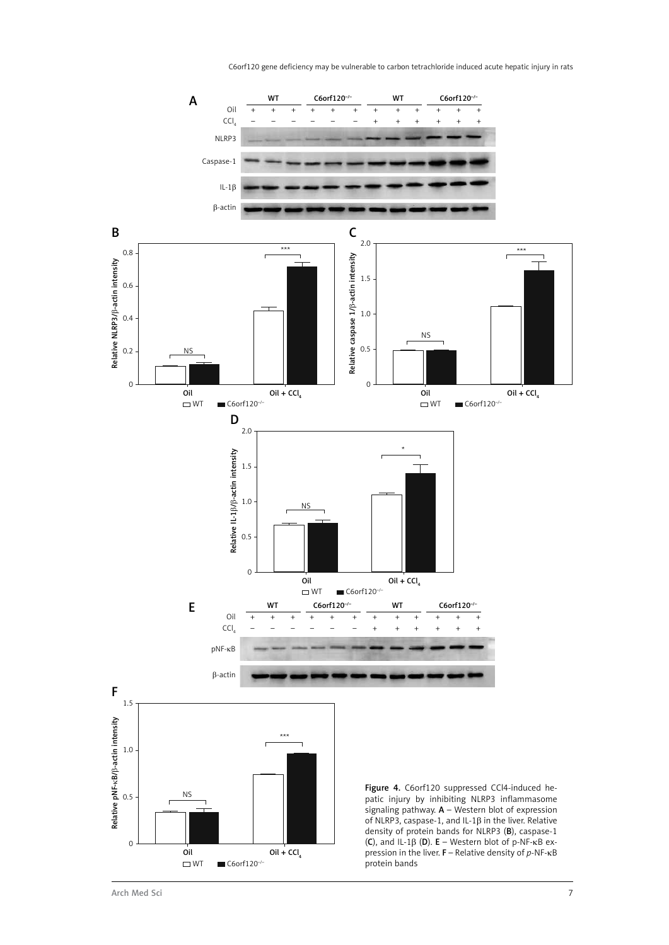C6orf120 gene deficiency may be vulnerable to carbon tetrachloride induced acute hepatic injury in rats

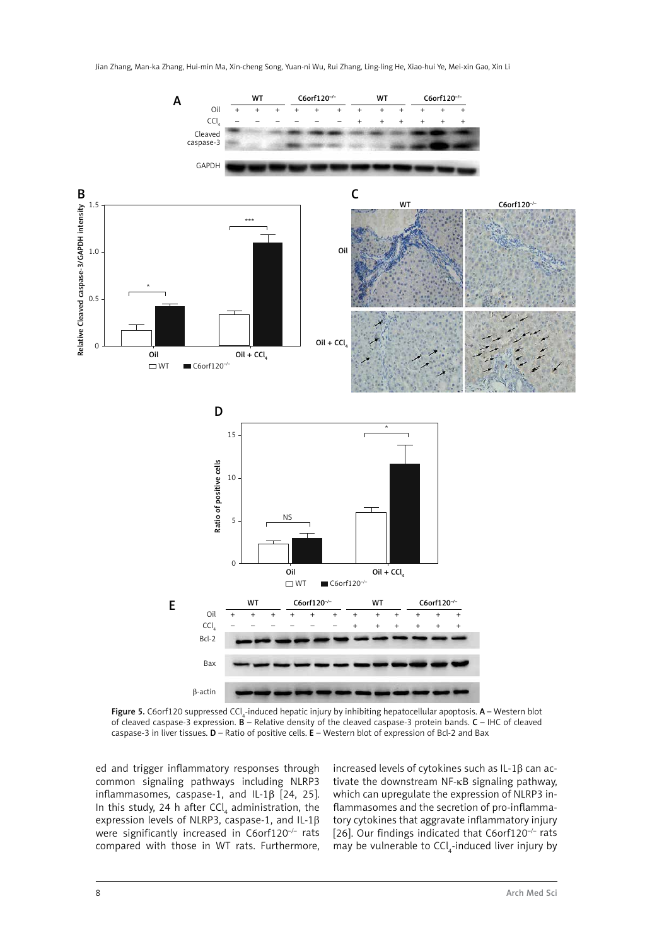

**Figure 5.** C6orf120 suppressed CCl<sub>4</sub>-induced hepatic injury by inhibiting hepatocellular apoptosis. **A** – Western blot of cleaved caspase-3 expression. B – Relative density of the cleaved caspase-3 protein bands. C – IHC of cleaved caspase-3 in liver tissues.  $D -$  Ratio of positive cells.  $E -$  Western blot of expression of Bcl-2 and Bax

ed and trigger inflammatory responses through common signaling pathways including NLRP3 inflammasomes, caspase-1, and IL-1β [24, 25]. In this study, 24 h after  $\text{CCI}_4$  administration, the expression levels of NLRP3, caspase-1, and IL-1β were significantly increased in C6orf120<sup>-/-</sup> rats compared with those in WT rats. Furthermore, increased levels of cytokines such as IL-1β can activate the downstream NF-κB signaling pathway, which can upregulate the expression of NLRP3 inflammasomes and the secretion of pro-inflammatory cytokines that aggravate inflammatory injury [26]. Our findings indicated that C6orf120<sup>-/-</sup> rats may be vulnerable to  $\textsf{CCI}_4$ -induced liver injury by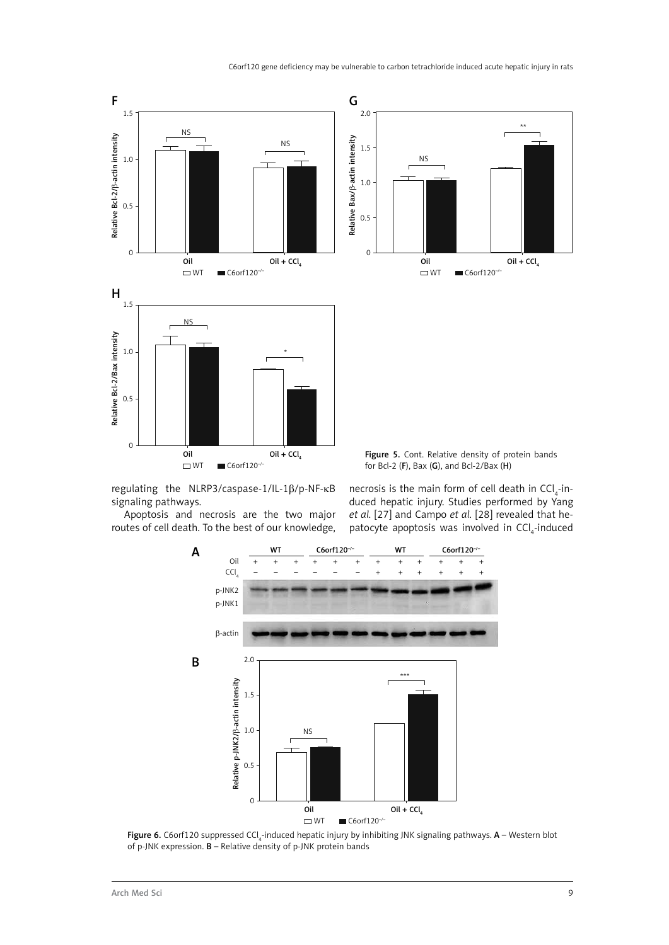

regulating the NLRP3/caspase-1/IL-1β/p-NF-κB signaling pathways.

Apoptosis and necrosis are the two major routes of cell death. To the best of our knowledge,

necrosis is the main form of cell death in  $\text{CCI}_{4}$ -induced hepatic injury. Studies performed by Yang *et al.* [27] and Campo *et al.* [28] revealed that hepatocyte apoptosis was involved in  $\text{CCI}_4$ -induced



**Figure 6.** C6orf120 suppressed CCl<sub>4</sub>-induced hepatic injury by inhibiting JNK signaling pathways. **A** – Western blot of p-JNK expression.  $\mathbf{B}$  – Relative density of p-JNK protein bands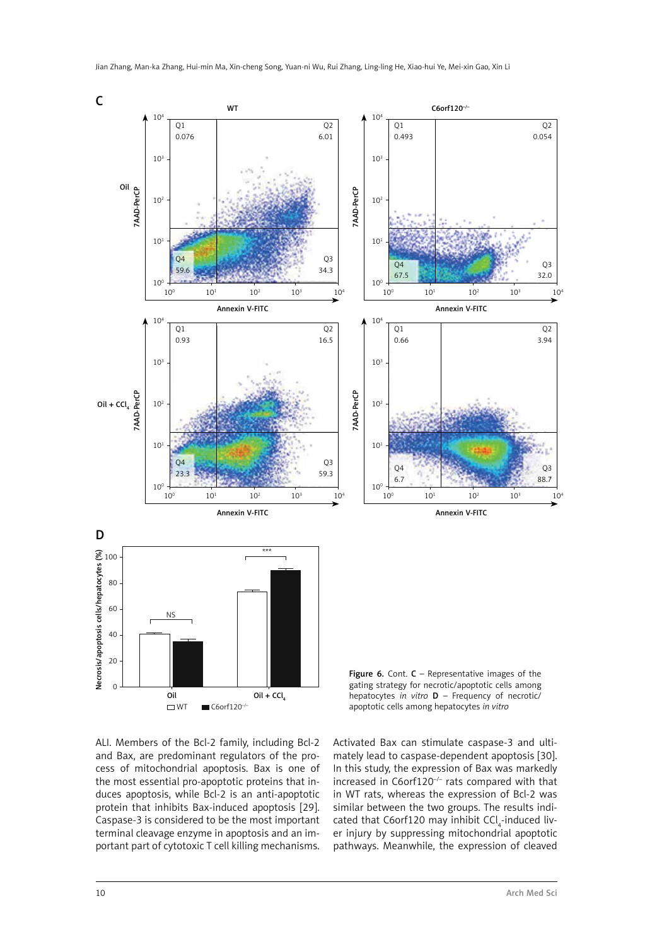

ALI. Members of the Bcl-2 family, including Bcl-2 and Bax, are predominant regulators of the process of mitochondrial apoptosis. Bax is one of the most essential pro-apoptotic proteins that induces apoptosis, while Bcl-2 is an anti-apoptotic protein that inhibits Bax-induced apoptosis [29]. Caspase-3 is considered to be the most important terminal cleavage enzyme in apoptosis and an important part of cytotoxic T cell killing mechanisms.

apoptotic cells among hepatocytes *in vitro*

Activated Bax can stimulate caspase-3 and ultimately lead to caspase-dependent apoptosis [30]. In this study, the expression of Bax was markedly increased in  $C6$ orf120<sup>-/-</sup> rats compared with that in WT rats, whereas the expression of Bcl-2 was similar between the two groups. The results indicated that C6orf120 may inhibit  $\textsf{CCI}_4\textsf{-induced}$  liver injury by suppressing mitochondrial apoptotic pathways. Meanwhile, the expression of cleaved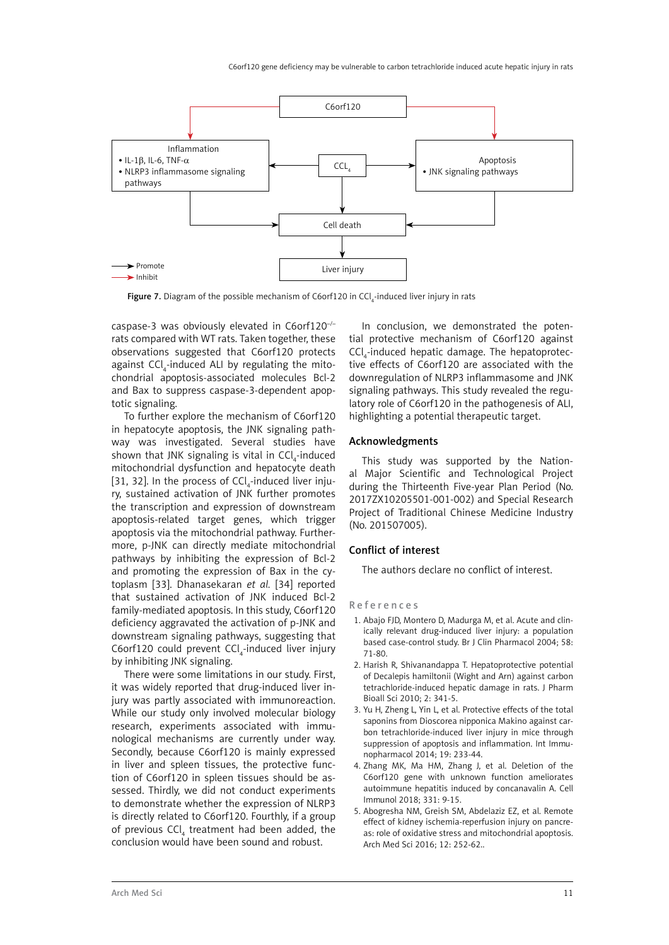C6orf120 gene deficiency may be vulnerable to carbon tetrachloride induced acute hepatic injury in rats



**Figure 7.** Diagram of the possible mechanism of C6orf120 in CCl $_4$ -induced liver injury in rats

caspase-3 was obviously elevated in C6orf120–/– rats compared with WT rats. Taken together, these observations suggested that C6orf120 protects against  $\mathsf{CCl}_4$ -induced ALI by regulating the mitochondrial apoptosis-associated molecules Bcl-2 and Bax to suppress caspase-3-dependent apoptotic signaling.

To further explore the mechanism of C6orf120 in hepatocyte apoptosis, the JNK signaling pathway was investigated. Several studies have shown that JNK signaling is vital in CCl<sub>4</sub>-induced mitochondrial dysfunction and hepatocyte death [31, 32]. In the process of  $\textsf{CCI}_4\textsf{-induced}$  liver injury, sustained activation of JNK further promotes the transcription and expression of downstream apoptosis-related target genes, which trigger apoptosis via the mitochondrial pathway. Furthermore, p-JNK can directly mediate mitochondrial pathways by inhibiting the expression of Bcl-2 and promoting the expression of Bax in the cytoplasm [33]. Dhanasekaran *et al.* [34] reported that sustained activation of JNK induced Bcl-2 family-mediated apoptosis. In this study, C6orf120 deficiency aggravated the activation of p-JNK and downstream signaling pathways, suggesting that  $C6$ orf $120$  could prevent  $CCl_4$ -induced liver injury by inhibiting JNK signaling.

There were some limitations in our study. First, it was widely reported that drug-induced liver injury was partly associated with immunoreaction. While our study only involved molecular biology research, experiments associated with immunological mechanisms are currently under way. Secondly, because C6orf120 is mainly expressed in liver and spleen tissues, the protective function of C6orf120 in spleen tissues should be assessed. Thirdly, we did not conduct experiments to demonstrate whether the expression of NLRP3 is directly related to C6orf120. Fourthly, if a group of previous  $\mathsf{CCl}_4$  treatment had been added, the conclusion would have been sound and robust.

In conclusion, we demonstrated the potential protective mechanism of C6orf120 against  $\textsf{CCI}_4$ -induced hepatic damage. The hepatoprotective effects of C6orf120 are associated with the downregulation of NLRP3 inflammasome and JNK signaling pathways. This study revealed the regulatory role of C6orf120 in the pathogenesis of ALI, highlighting a potential therapeutic target.

# Acknowledgments

This study was supported by the National Major Scientific and Technological Project during the Thirteenth Five-year Plan Period (No. 2017ZX10205501-001-002) and Special Research Project of Traditional Chinese Medicine Industry (No. 201507005).

# Conflict of interest

The authors declare no conflict of interest.

#### References

- 1. Abajo FJD, Montero D, Madurga M, et al. Acute and clinically relevant drug-induced liver injury: a population based case-control study. Br J Clin Pharmacol 2004; 58: 71-80.
- 2. Harish R, Shivanandappa T. Hepatoprotective potential of Decalepis hamiltonii (Wight and Arn) against carbon tetrachloride-induced hepatic damage in rats. J Pharm Bioall Sci 2010; 2: 341-5.
- 3. Yu H, Zheng L, Yin L, et al. Protective effects of the total saponins from Dioscorea nipponica Makino against carbon tetrachloride-induced liver injury in mice through suppression of apoptosis and inflammation. Int Immunopharmacol 2014; 19: 233-44.
- 4. Zhang MK, Ma HM, Zhang J, et al. Deletion of the C6orf120 gene with unknown function ameliorates autoimmune hepatitis induced by concanavalin A. Cell Immunol 2018; 331: 9-15.
- 5. Abogresha NM, Greish SM, Abdelaziz EZ, et al. Remote effect of kidney ischemia-reperfusion injury on pancreas: role of oxidative stress and mitochondrial apoptosis. Arch Med Sci 2016; 12: 252-62..